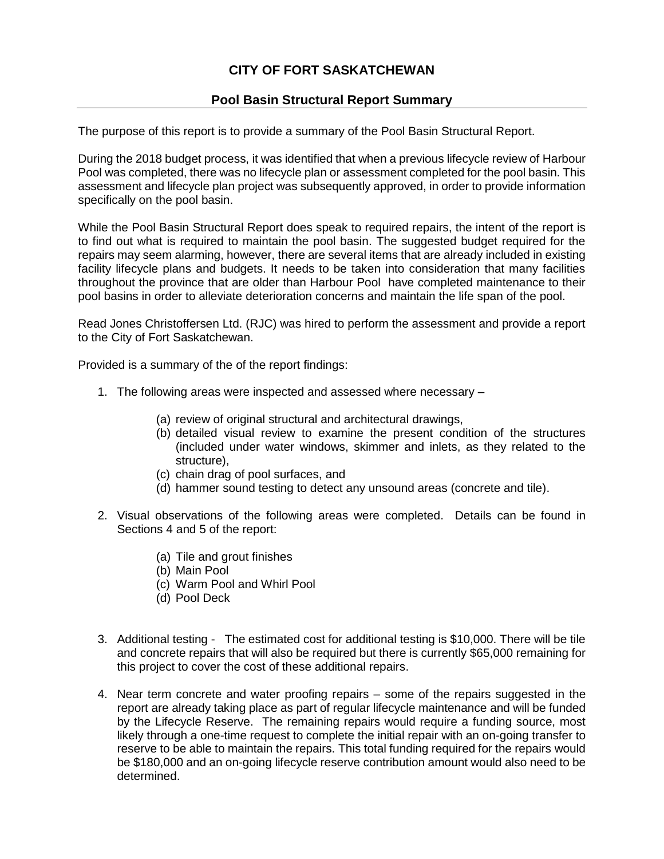## **CITY OF FORT SASKATCHEWAN**

## **Pool Basin Structural Report Summary**

The purpose of this report is to provide a summary of the Pool Basin Structural Report.

During the 2018 budget process, it was identified that when a previous lifecycle review of Harbour Pool was completed, there was no lifecycle plan or assessment completed for the pool basin. This assessment and lifecycle plan project was subsequently approved, in order to provide information specifically on the pool basin.

While the Pool Basin Structural Report does speak to required repairs, the intent of the report is to find out what is required to maintain the pool basin. The suggested budget required for the repairs may seem alarming, however, there are several items that are already included in existing facility lifecycle plans and budgets. It needs to be taken into consideration that many facilities throughout the province that are older than Harbour Pool have completed maintenance to their pool basins in order to alleviate deterioration concerns and maintain the life span of the pool.

Read Jones Christoffersen Ltd. (RJC) was hired to perform the assessment and provide a report to the City of Fort Saskatchewan.

Provided is a summary of the of the report findings:

- 1. The following areas were inspected and assessed where necessary
	- (a) review of original structural and architectural drawings,
	- (b) detailed visual review to examine the present condition of the structures (included under water windows, skimmer and inlets, as they related to the structure),
	- (c) chain drag of pool surfaces, and
	- (d) hammer sound testing to detect any unsound areas (concrete and tile).
- 2. Visual observations of the following areas were completed. Details can be found in Sections 4 and 5 of the report:
	- (a) Tile and grout finishes
	- (b) Main Pool
	- (c) Warm Pool and Whirl Pool
	- (d) Pool Deck
- 3. Additional testing The estimated cost for additional testing is \$10,000. There will be tile and concrete repairs that will also be required but there is currently \$65,000 remaining for this project to cover the cost of these additional repairs.
- 4. Near term concrete and water proofing repairs some of the repairs suggested in the report are already taking place as part of regular lifecycle maintenance and will be funded by the Lifecycle Reserve. The remaining repairs would require a funding source, most likely through a one-time request to complete the initial repair with an on-going transfer to reserve to be able to maintain the repairs. This total funding required for the repairs would be \$180,000 and an on-going lifecycle reserve contribution amount would also need to be determined.